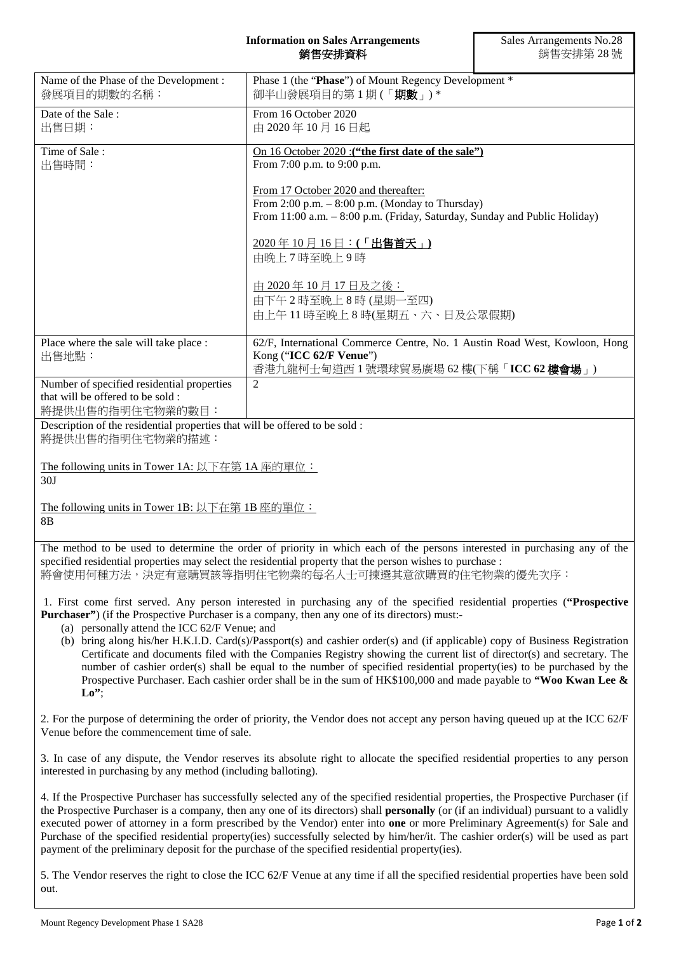## **Information on Sales Arrangements** 銷售安排資料

| Name of the Phase of the Development:<br>發展項目的期數的名稱:                                                                                                                                                                                                                                                                                                                                                                                                                                                                                                                                                                                                                                                                                                                                                                    | Phase 1 (the "Phase") of Mount Regency Development *<br>御半山發展項目的第1期(「期數」)*                                                                                                                                                                                                                                                                                                                                                                                                                                                                                                                                                                                  |  |
|-------------------------------------------------------------------------------------------------------------------------------------------------------------------------------------------------------------------------------------------------------------------------------------------------------------------------------------------------------------------------------------------------------------------------------------------------------------------------------------------------------------------------------------------------------------------------------------------------------------------------------------------------------------------------------------------------------------------------------------------------------------------------------------------------------------------------|-------------------------------------------------------------------------------------------------------------------------------------------------------------------------------------------------------------------------------------------------------------------------------------------------------------------------------------------------------------------------------------------------------------------------------------------------------------------------------------------------------------------------------------------------------------------------------------------------------------------------------------------------------------|--|
| Date of the Sale:<br>出售日期:                                                                                                                                                                                                                                                                                                                                                                                                                                                                                                                                                                                                                                                                                                                                                                                              | From 16 October 2020<br>由 2020年10月16日起                                                                                                                                                                                                                                                                                                                                                                                                                                                                                                                                                                                                                      |  |
| Time of Sale:<br>出售時間:                                                                                                                                                                                                                                                                                                                                                                                                                                                                                                                                                                                                                                                                                                                                                                                                  | On 16 October 2020 : ("the first date of the sale")<br>From 7:00 p.m. to 9:00 p.m.                                                                                                                                                                                                                                                                                                                                                                                                                                                                                                                                                                          |  |
|                                                                                                                                                                                                                                                                                                                                                                                                                                                                                                                                                                                                                                                                                                                                                                                                                         | From 17 October 2020 and thereafter:<br>From 2:00 p.m. - 8:00 p.m. (Monday to Thursday)<br>From 11:00 a.m. - 8:00 p.m. (Friday, Saturday, Sunday and Public Holiday)                                                                                                                                                                                                                                                                                                                                                                                                                                                                                        |  |
|                                                                                                                                                                                                                                                                                                                                                                                                                                                                                                                                                                                                                                                                                                                                                                                                                         | $\frac{2020 \times 10 \times 16}{2000 \times 1000}$ 16 日 : (「出售首天」)<br>由晚上7時至晚上9時                                                                                                                                                                                                                                                                                                                                                                                                                                                                                                                                                                           |  |
|                                                                                                                                                                                                                                                                                                                                                                                                                                                                                                                                                                                                                                                                                                                                                                                                                         | 由 2020年10月17日及之後:<br>由下午2時至晚上8時(星期一至四)<br>由上午11時至晚上8時(星期五、六、日及公眾假期)                                                                                                                                                                                                                                                                                                                                                                                                                                                                                                                                                                                         |  |
| Place where the sale will take place :<br>出售地點:                                                                                                                                                                                                                                                                                                                                                                                                                                                                                                                                                                                                                                                                                                                                                                         | 62/F, International Commerce Centre, No. 1 Austin Road West, Kowloon, Hong<br>Kong ("ICC 62/F Venue")<br>香港九龍柯士甸道西1號環球貿易廣場 62樓(下稱「ICC 62樓會場」)                                                                                                                                                                                                                                                                                                                                                                                                                                                                                                               |  |
| Number of specified residential properties<br>that will be offered to be sold:<br>將提供出售的指明住宅物業的數目:                                                                                                                                                                                                                                                                                                                                                                                                                                                                                                                                                                                                                                                                                                                      | $\overline{2}$                                                                                                                                                                                                                                                                                                                                                                                                                                                                                                                                                                                                                                              |  |
| Description of the residential properties that will be offered to be sold :<br>將提供出售的指明住宅物業的描述:                                                                                                                                                                                                                                                                                                                                                                                                                                                                                                                                                                                                                                                                                                                         |                                                                                                                                                                                                                                                                                                                                                                                                                                                                                                                                                                                                                                                             |  |
| The following units in Tower 1A: 以下在第 1A 座的單位:<br>30J                                                                                                                                                                                                                                                                                                                                                                                                                                                                                                                                                                                                                                                                                                                                                                   |                                                                                                                                                                                                                                                                                                                                                                                                                                                                                                                                                                                                                                                             |  |
| The following units in Tower 1B: 以下在第 1B 座的單位:<br>8B                                                                                                                                                                                                                                                                                                                                                                                                                                                                                                                                                                                                                                                                                                                                                                    |                                                                                                                                                                                                                                                                                                                                                                                                                                                                                                                                                                                                                                                             |  |
| The method to be used to determine the order of priority in which each of the persons interested in purchasing any of the<br>specified residential properties may select the residential property that the person wishes to purchase :<br>將會使用何種方法,決定有意購買該等指明住宅物業的每名人士可揀選其意欲購買的住宅物業的優先次序:                                                                                                                                                                                                                                                                                                                                                                                                                                                                                                                               |                                                                                                                                                                                                                                                                                                                                                                                                                                                                                                                                                                                                                                                             |  |
| 1. First come first served. Any person interested in purchasing any of the specified residential properties ("Prospective<br><b>Purchaser</b> ") (if the Prospective Purchaser is a company, then any one of its directors) must:-<br>(a) personally attend the ICC 62/F Venue; and<br>(b) bring along his/her H.K.I.D. Card(s)/Passport(s) and cashier order(s) and (if applicable) copy of Business Registration<br>Certificate and documents filed with the Companies Registry showing the current list of director(s) and secretary. The<br>number of cashier order(s) shall be equal to the number of specified residential property(ies) to be purchased by the<br>Prospective Purchaser. Each cashier order shall be in the sum of $HK$100,000$ and made payable to "Woo Kwan Lee &<br>$\mathbf{L}\mathbf{o}$ "; |                                                                                                                                                                                                                                                                                                                                                                                                                                                                                                                                                                                                                                                             |  |
| Venue before the commencement time of sale.                                                                                                                                                                                                                                                                                                                                                                                                                                                                                                                                                                                                                                                                                                                                                                             | 2. For the purpose of determining the order of priority, the Vendor does not accept any person having queued up at the ICC 62/F                                                                                                                                                                                                                                                                                                                                                                                                                                                                                                                             |  |
| interested in purchasing by any method (including balloting).                                                                                                                                                                                                                                                                                                                                                                                                                                                                                                                                                                                                                                                                                                                                                           | 3. In case of any dispute, the Vendor reserves its absolute right to allocate the specified residential properties to any person                                                                                                                                                                                                                                                                                                                                                                                                                                                                                                                            |  |
|                                                                                                                                                                                                                                                                                                                                                                                                                                                                                                                                                                                                                                                                                                                                                                                                                         | 4. If the Prospective Purchaser has successfully selected any of the specified residential properties, the Prospective Purchaser (if<br>the Prospective Purchaser is a company, then any one of its directors) shall personally (or (if an individual) pursuant to a validly<br>executed power of attorney in a form prescribed by the Vendor) enter into <b>one</b> or more Preliminary Agreement(s) for Sale and<br>Purchase of the specified residential property(ies) successfully selected by him/her/it. The cashier order(s) will be used as part<br>payment of the preliminary deposit for the purchase of the specified residential property(ies). |  |

5. The Vendor reserves the right to close the ICC 62/F Venue at any time if all the specified residential properties have been sold out.